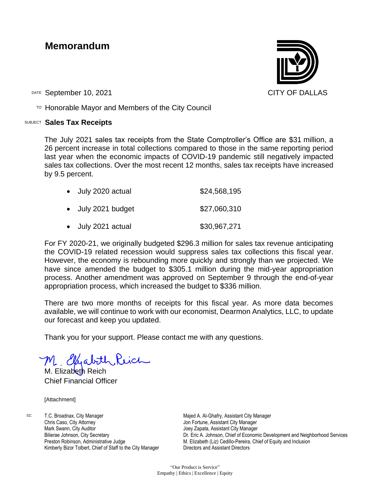## **Memorandum**

DATE September 10, 2021 CITY OF DALLAS

TO Honorable Mayor and Members of the City Council

## SUBJECT **Sales Tax Receipts**

The July 2021 sales tax receipts from the State Comptroller's Office are \$31 million, a 26 percent increase in total collections compared to those in the same reporting period last year when the economic impacts of COVID-19 pandemic still negatively impacted sales tax collections. Over the most recent 12 months, sales tax receipts have increased by 9.5 percent.

| • July 2020 actual | \$24,568,195 |
|--------------------|--------------|
| • July 2021 budget | \$27,060,310 |
| • July 2021 actual | \$30,967,271 |

For FY 2020-21, we originally budgeted \$296.3 million for sales tax revenue anticipating the COVID-19 related recession would suppress sales tax collections this fiscal year. However, the economy is rebounding more quickly and strongly than we projected. We have since amended the budget to \$305.1 million during the mid-year appropriation process. Another amendment was approved on September 9 through the end-of-year appropriation process, which increased the budget to \$336 million.

There are two more months of receipts for this fiscal year. As more data becomes available, we will continue to work with our economist, Dearmon Analytics, LLC, to update our forecast and keep you updated.

Thank you for your support. Please contact me with any questions.

M. Elyabith Reich

Chief Financial Officer

[Attachment]

cc: T.C. Broadnax, City Manager Chris Caso, City Attorney Mark Swann, City Auditor Bilierae Johnson, City Secretary Preston Robinson, Administrative Judge Kimberly Bizor Tolbert, Chief of Staff to the City Manager

Majed A. Al-Ghafry, Assistant City Manager Jon Fortune, Assistant City Manager Joey Zapata, Assistant City Manager Dr. Eric A. Johnson, Chief of Economic Development and Neighborhood Services M. Elizabeth (Liz) Cedillo-Pereira, Chief of Equity and Inclusion Directors and Assistant Directors

"Our Product is Service" Empathy | Ethics | Excellence | Equity

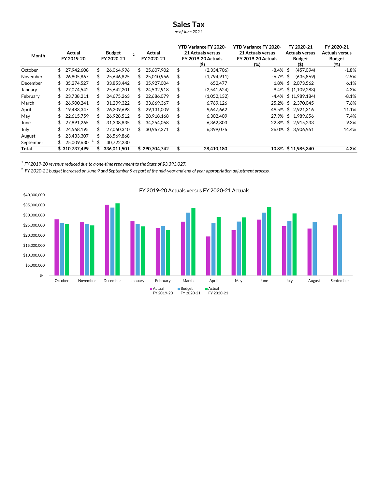## Sales Tax

as of June 2021

| Month     | Actual<br>FY 2019-20 |                         |    | <b>Budget</b><br>FY 2020-21 |     | Actual<br>$\mathcal{P}$<br>FY 2020-21 |    | <b>YTD Variance FY 2020-</b><br><b>21 Actuals versus</b><br><b>FY 2019-20 Actuals</b> | <b>YTD Variance FY 2020-</b><br>21 Actuals versus<br><b>FY 2019-20 Actuals</b> | FY 2020-21<br><b>Actuals versus</b><br><b>Budget</b> | FY 2020-21<br><b>Actuals versus</b><br><b>Budget</b> |
|-----------|----------------------|-------------------------|----|-----------------------------|-----|---------------------------------------|----|---------------------------------------------------------------------------------------|--------------------------------------------------------------------------------|------------------------------------------------------|------------------------------------------------------|
| October   | \$                   | 27.942.608              | \$ | 26.064.996                  | \$  | 25.607.902                            | \$ | (5)<br>(2,334,706)                                                                    | (%)<br>$-8.4\%$ \$                                                             | (\$)<br>(457,094)                                    | (%)<br>$-1.8%$                                       |
| November  | S.                   | 26,805,867              | \$ | 25,646,825                  | \$  | 25,010,956                            | S  | (1,794,911)                                                                           | $-6.7\%$ \$                                                                    | (635, 869)                                           | $-2.5%$                                              |
| December  | SS.                  | 35.274.527              | S  | 33,853,442                  | S.  | 35.927.004                            | S  | 652.477                                                                               | 1.8%                                                                           | \$2.073.562                                          | 6.1%                                                 |
| January   | SS.                  | 27.074.542              | \$ | 25,642,201                  | \$  | 24.532.918                            |    | (2,541,624)                                                                           |                                                                                | $-9.4\%$ \$ (1.109.283)                              | $-4.3%$                                              |
| February  | \$                   | 23.738.211              | \$ | 24.675.263                  | \$. | 22.686.079                            | S  | (1,052,132)                                                                           |                                                                                | $-4.4\%$ \$ (1.989.184)                              | $-8.1%$                                              |
| March     | SS.                  | 26.900.241              | S  | 31,299,322                  | \$  | 33.669.367                            | \$ | 6,769,126                                                                             |                                                                                | 25.2% \$ 2,370,045                                   | 7.6%                                                 |
| April     | \$                   | 19.483.347              | \$ | 26.209.693                  | \$  | 29.131.009                            | \$ | 9,647,662                                                                             |                                                                                | 49.5% \$ 2.921.316                                   | 11.1%                                                |
| May       |                      | 22,615,759              |    | 26,928,512                  | \$  | 28.918.168                            |    | 6,302,409                                                                             |                                                                                | 27.9% \$ 1,989,656                                   | 7.4%                                                 |
| June      |                      | 27.891.265              | \$ | 31.338.835                  |     | 34.254.068                            | S  | 6,362,803                                                                             |                                                                                | 22.8% \$ 2.915.233                                   | 9.3%                                                 |
| July      |                      | 24,568,195              | S  | 27,060,310                  | \$  | 30,967,271                            | \$ | 6,399,076                                                                             |                                                                                | 26.0% \$ 3,906,961                                   | 14.4%                                                |
| August    |                      | 23.433.307              |    | 26,569,868                  |     |                                       |    |                                                                                       |                                                                                |                                                      |                                                      |
| September |                      | 25,009,630 <sup>1</sup> | \$ | 30,722,230                  |     |                                       |    |                                                                                       |                                                                                |                                                      |                                                      |
| Total     |                      | \$310,737,499           |    | 336,011,501                 |     | \$290.704.742                         |    | 28,410,180                                                                            |                                                                                | 10.8% \$11,985,340                                   | 4.3%                                                 |

 $1$  FY 2019-20 revenue reduced due to a one-time repayment to the State of \$3,393,027.

 $^2$  FY 2020-21 budget increased on June 9 and September 9 as part of the mid-year and end of year appropriation adjustment process.